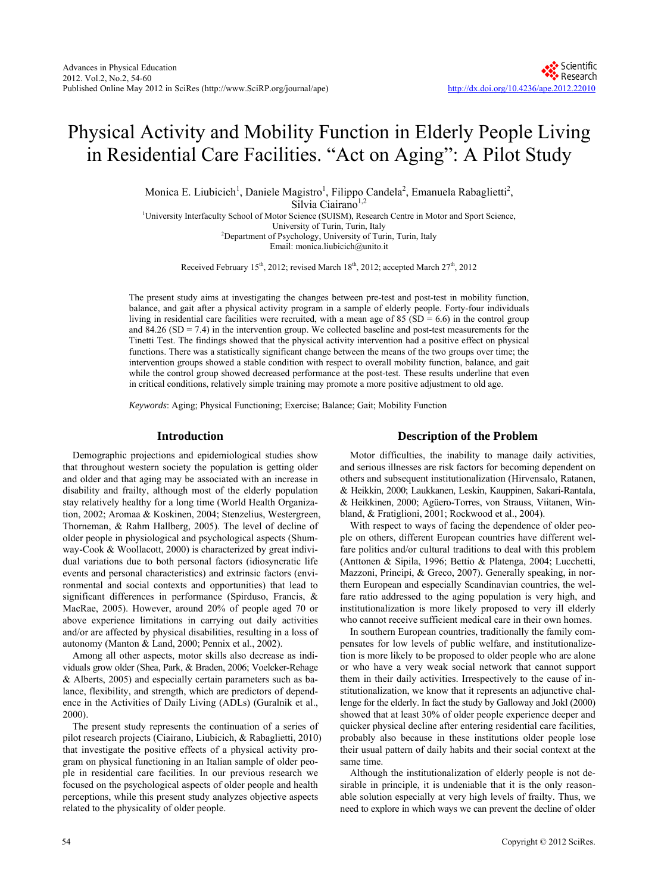# Physical Activity and Mobility Function in Elderly People Living in Residential Care Facilities. "Act on Aging": A Pilot Study

Monica E. Liubicich<sup>1</sup>, Daniele Magistro<sup>1</sup>, Filippo Candela<sup>2</sup>, Emanuela Rabaglietti<sup>2</sup>,

Silvia Ciairano $1,2$ 

<sup>1</sup>University Interfaculty School of Motor Science (SUISM), Research Centre in Motor and Sport Science, University of Turin, Turin, Italy<br>
<sup>2</sup>Department of Psychology, University of Turin, Turin, Italy

Email: monica.liubicich@unito.it

Received February 15<sup>th</sup>, 2012; revised March 18<sup>th</sup>, 2012; accepted March 27<sup>th</sup>, 2012

The present study aims at investigating the changes between pre-test and post-test in mobility function, balance, and gait after a physical activity program in a sample of elderly people. Forty-four individuals living in residential care facilities were recruited, with a mean age of  $85 \text{ (SD} = 6.6)$  in the control group and  $84.26$  (SD = 7.4) in the intervention group. We collected baseline and post-test measurements for the Tinetti Test. The findings showed that the physical activity intervention had a positive effect on physical functions. There was a statistically significant change between the means of the two groups over time; the intervention groups showed a stable condition with respect to overall mobility function, balance, and gait while the control group showed decreased performance at the post-test. These results underline that even in critical conditions, relatively simple training may promote a more positive adjustment to old age.

*Keywords*: Aging; Physical Functioning; Exercise; Balance; Gait; Mobility Function

## **Introduction**

Demographic projections and epidemiological studies show that throughout western society the population is getting older and older and that aging may be associated with an increase in disability and frailty, although most of the elderly population stay relatively healthy for a long time (World Health Organization, 2002; Aromaa & Koskinen, 2004; Stenzelius, Westergreen, Thorneman, & Rahm Hallberg, 2005). The level of decline of older people in physiological and psychological aspects (Shumway-Cook & Woollacott, 2000) is characterized by great individual variations due to both personal factors (idiosyncratic life events and personal characteristics) and extrinsic factors (environmental and social contexts and opportunities) that lead to significant differences in performance (Spirduso, Francis, & MacRae, 2005). However, around 20% of people aged 70 or above experience limitations in carrying out daily activities and/or are affected by physical disabilities, resulting in a loss of autonomy (Manton & Land, 2000; Pennix et al., 2002).

Among all other aspects, motor skills also decrease as individuals grow older (Shea, Park, & Braden, 2006; Voelcker-Rehage & Alberts, 2005) and especially certain parameters such as balance, flexibility, and strength, which are predictors of dependence in the Activities of Daily Living (ADLs) (Guralnik et al., 2000).

The present study represents the continuation of a series of pilot research projects (Ciairano, Liubicich, & Rabaglietti, 2010) that investigate the positive effects of a physical activity program on physical functioning in an Italian sample of older people in residential care facilities. In our previous research we focused on the psychological aspects of older people and health perceptions, while this present study analyzes objective aspects related to the physicality of older people.

## **Description of the Problem**

Motor difficulties, the inability to manage daily activities, and serious illnesses are risk factors for becoming dependent on others and subsequent institutionalization (Hirvensalo, Ratanen, & Heikkin, 2000; Laukkanen, Leskin, Kauppinen, Sakari-Rantala, & Heikkinen, 2000; Agüero-Torres, von Strauss, Viitanen, Winbland, & Fratiglioni, 2001; Rockwood et al., 2004).

With respect to ways of facing the dependence of older people on others, different European countries have different welfare politics and/or cultural traditions to deal with this problem (Anttonen & Sipila, 1996; Bettio & Platenga, 2004; Lucchetti, Mazzoni, Principi, & Greco, 2007). Generally speaking, in northern European and especially Scandinavian countries, the welfare ratio addressed to the aging population is very high, and institutionalization is more likely proposed to very ill elderly who cannot receive sufficient medical care in their own homes.

In southern European countries, traditionally the family compensates for low levels of public welfare, and institutionalizetion is more likely to be proposed to older people who are alone or who have a very weak social network that cannot support them in their daily activities. Irrespectively to the cause of institutionalization, we know that it represents an adjunctive challenge for the elderly. In fact the study by Galloway and Jokl (2000) showed that at least 30% of older people experience deeper and quicker physical decline after entering residential care facilities, probably also because in these institutions older people lose their usual pattern of daily habits and their social context at the same time.

Although the institutionalization of elderly people is not desirable in principle, it is undeniable that it is the only reasonable solution especially at very high levels of frailty. Thus, we need to explore in which ways we can prevent the decline of older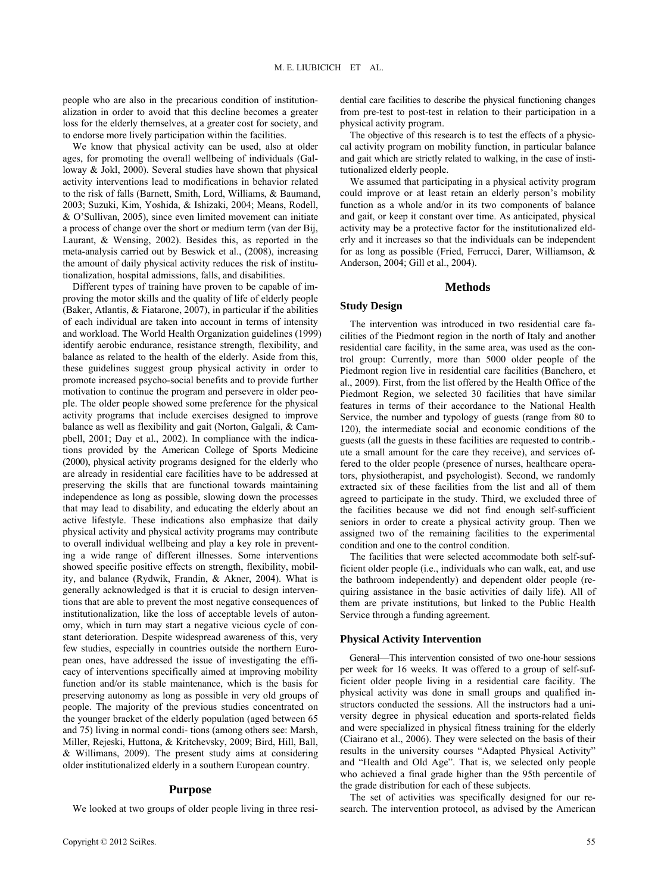people who are also in the precarious condition of institutionalization in order to avoid that this decline becomes a greater loss for the elderly themselves, at a greater cost for society, and to endorse more lively participation within the facilities.

We know that physical activity can be used, also at older ages, for promoting the overall wellbeing of individuals (Galloway & Jokl, 2000). Several studies have shown that physical activity interventions lead to modifications in behavior related to the risk of falls (Barnett, Smith, Lord, Williams, & Baumand, 2003; Suzuki, Kim, Yoshida, & Ishizaki, 2004; Means, Rodell, & O'Sullivan, 2005), since even limited movement can initiate a process of change over the short or medium term (van der Bij, Laurant, & Wensing, 2002). Besides this, as reported in the meta-analysis carried out by Beswick et al., (2008), increasing the amount of daily physical activity reduces the risk of institutionalization, hospital admissions, falls, and disabilities.

Different types of training have proven to be capable of improving the motor skills and the quality of life of elderly people (Baker, Atlantis, & Fiatarone, 2007), in particular if the abilities of each individual are taken into account in terms of intensity and workload. The World Health Organization guidelines (1999) identify aerobic endurance, resistance strength, flexibility, and balance as related to the health of the elderly. Aside from this, these guidelines suggest group physical activity in order to promote increased psycho-social benefits and to provide further motivation to continue the program and persevere in older people. The older people showed some preference for the physical activity programs that include exercises designed to improve balance as well as flexibility and gait (Norton, Galgali, & Campbell, 2001; Day et al., 2002). In compliance with the indications provided by the American College of Sports Medicine (2000), physical activity programs designed for the elderly who are already in residential care facilities have to be addressed at preserving the skills that are functional towards maintaining independence as long as possible, slowing down the processes that may lead to disability, and educating the elderly about an active lifestyle. These indications also emphasize that daily physical activity and physical activity programs may contribute to overall individual wellbeing and play a key role in preventing a wide range of different illnesses. Some interventions showed specific positive effects on strength, flexibility, mobility, and balance (Rydwik, Frandin, & Akner, 2004). What is generally acknowledged is that it is crucial to design interventions that are able to prevent the most negative consequences of institutionalization, like the loss of acceptable levels of autonomy, which in turn may start a negative vicious cycle of constant deterioration. Despite widespread awareness of this, very few studies, especially in countries outside the northern European ones, have addressed the issue of investigating the efficacy of interventions specifically aimed at improving mobility function and/or its stable maintenance, which is the basis for preserving autonomy as long as possible in very old groups of people. The majority of the previous studies concentrated on the younger bracket of the elderly population (aged between 65 and 75) living in normal condi- tions (among others see: Marsh, Miller, Rejeski, Huttona, & Kritchevsky, 2009; Bird, Hill, Ball, & Willimans, 2009). The present study aims at considering older institutionalized elderly in a southern European country.

# **Purpose**

We looked at two groups of older people living in three resi-

dential care facilities to describe the physical functioning changes from pre-test to post-test in relation to their participation in a physical activity program.

The objective of this research is to test the effects of a physiccal activity program on mobility function, in particular balance and gait which are strictly related to walking, in the case of institutionalized elderly people.

We assumed that participating in a physical activity program could improve or at least retain an elderly person's mobility function as a whole and/or in its two components of balance and gait, or keep it constant over time. As anticipated, physical activity may be a protective factor for the institutionalized elderly and it increases so that the individuals can be independent for as long as possible (Fried, Ferrucci, Darer, Williamson, & Anderson, 2004; Gill et al., 2004).

### **Methods**

## **Study Design**

The intervention was introduced in two residential care facilities of the Piedmont region in the north of Italy and another residential care facility, in the same area, was used as the control group: Currently, more than 5000 older people of the Piedmont region live in residential care facilities (Banchero, et al., 2009). First, from the list offered by the Health Office of the Piedmont Region, we selected 30 facilities that have similar features in terms of their accordance to the National Health Service, the number and typology of guests (range from 80 to 120), the intermediate social and economic conditions of the guests (all the guests in these facilities are requested to contrib. ute a small amount for the care they receive), and services offered to the older people (presence of nurses, healthcare operators, physiotherapist, and psychologist). Second, we randomly extracted six of these facilities from the list and all of them agreed to participate in the study. Third, we excluded three of the facilities because we did not find enough self-sufficient seniors in order to create a physical activity group. Then we assigned two of the remaining facilities to the experimental condition and one to the control condition.

The facilities that were selected accommodate both self-sufficient older people (i.e., individuals who can walk, eat, and use the bathroom independently) and dependent older people (requiring assistance in the basic activities of daily life). All of them are private institutions, but linked to the Public Health Service through a funding agreement.

#### **Physical Activity Intervention**

General—This intervention consisted of two one-hour sessions per week for 16 weeks. It was offered to a group of self-sufficient older people living in a residential care facility. The physical activity was done in small groups and qualified instructors conducted the sessions. All the instructors had a university degree in physical education and sports-related fields and were specialized in physical fitness training for the elderly (Ciairano et al., 2006). They were selected on the basis of their results in the university courses "Adapted Physical Activity" and "Health and Old Age". That is, we selected only people who achieved a final grade higher than the 95th percentile of the grade distribution for each of these subjects.

The set of activities was specifically designed for our research. The intervention protocol, as advised by the American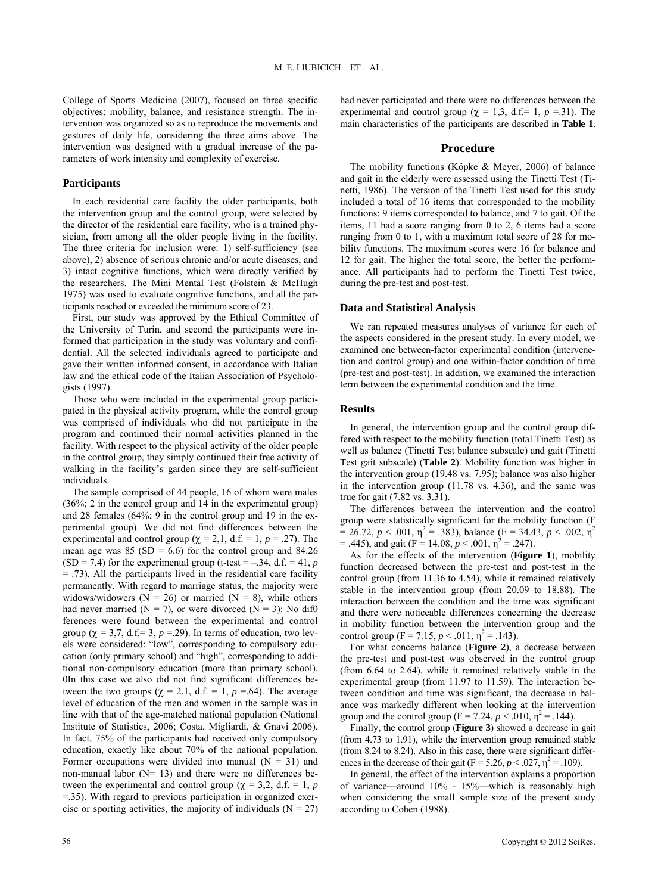College of Sports Medicine (2007), focused on three specific objectives: mobility, balance, and resistance strength. The intervention was organized so as to reproduce the movements and gestures of daily life, considering the three aims above. The intervention was designed with a gradual increase of the parameters of work intensity and complexity of exercise.

#### **Participants**

In each residential care facility the older participants, both the intervention group and the control group, were selected by the director of the residential care facility, who is a trained physician, from among all the older people living in the facility. The three criteria for inclusion were: 1) self-sufficiency (see above), 2) absence of serious chronic and/or acute diseases, and 3) intact cognitive functions, which were directly verified by the researchers. The Mini Mental Test (Folstein & McHugh 1975) was used to evaluate cognitive functions, and all the participants reached or exceeded the minimum score of 23.

First, our study was approved by the Ethical Committee of the University of Turin, and second the participants were informed that participation in the study was voluntary and confidential. All the selected individuals agreed to participate and gave their written informed consent, in accordance with Italian law and the ethical code of the Italian Association of Psychologists (1997).

Those who were included in the experimental group participated in the physical activity program, while the control group was comprised of individuals who did not participate in the program and continued their normal activities planned in the facility. With respect to the physical activity of the older people in the control group, they simply continued their free activity of walking in the facility's garden since they are self-sufficient individuals.

The sample comprised of 44 people, 16 of whom were males (36%; 2 in the control group and 14 in the experimental group) and 28 females (64%; 9 in the control group and 19 in the experimental group). We did not find differences between the experimental and control group ( $\chi$  = 2,1, d.f. = 1,  $p$  = .27). The mean age was  $85$  (SD = 6.6) for the control group and  $84.26$  $(SD = 7.4)$  for the experimental group (t-test = -.34, d.f. = 41, *p* = .73). All the participants lived in the residential care facility permanently. With regard to marriage status, the majority were widows/widowers ( $N = 26$ ) or married ( $N = 8$ ), while others had never married ( $N = 7$ ), or were divorced ( $N = 3$ ): No dif0 ferences were found between the experimental and control group ( $\chi$  = 3,7, d.f.= 3,  $p$  = 29). In terms of education, two levels were considered: "low", corresponding to compulsory education (only primary school) and "high", corresponding to additional non-compulsory education (more than primary school). 0In this case we also did not find significant differences between the two groups ( $\gamma = 2,1, d.f. = 1, p = .64$ ). The average level of education of the men and women in the sample was in line with that of the age-matched national population (National Institute of Statistics, 2006; Costa, Migliardi, & Gnavi 2006). In fact, 75% of the participants had received only compulsory education, exactly like about 70% of the national population. Former occupations were divided into manual  $(N = 31)$  and non-manual labor ( $N= 13$ ) and there were no differences between the experimental and control group ( $\chi$  = 3,2, d.f. = 1, *p* =.35). With regard to previous participation in organized exercise or sporting activities, the majority of individuals  $(N = 27)$  had never participated and there were no differences between the experimental and control group ( $\chi$  = 1,3, d.f.= 1,  $p$  = 31). The main characteristics of the participants are described in **Table 1**.

#### **Procedure**

The mobility functions (Köpke & Meyer, 2006) of balance and gait in the elderly were assessed using the Tinetti Test (Tinetti, 1986). The version of the Tinetti Test used for this study included a total of 16 items that corresponded to the mobility functions: 9 items corresponded to balance, and 7 to gait. Of the items, 11 had a score ranging from 0 to 2, 6 items had a score ranging from 0 to 1, with a maximum total score of 28 for mobility functions. The maximum scores were 16 for balance and 12 for gait. The higher the total score, the better the performance. All participants had to perform the Tinetti Test twice, during the pre-test and post-test.

#### **Data and Statistical Analysis**

We ran repeated measures analyses of variance for each of the aspects considered in the present study. In every model, we examined one between-factor experimental condition (intervenetion and control group) and one within-factor condition of time (pre-test and post-test). In addition, we examined the interaction term between the experimental condition and the time.

#### **Results**

In general, the intervention group and the control group differed with respect to the mobility function (total Tinetti Test) as well as balance (Tinetti Test balance subscale) and gait (Tinetti Test gait subscale) (**Table 2**). Mobility function was higher in the intervention group (19.48 vs. 7.95); balance was also higher in the intervention group (11.78 vs. 4.36), and the same was true for gait (7.82 vs. 3.31).

The differences between the intervention and the control group were statistically significant for the mobility function (F  $= 26.72, p < .001, \eta^2 = .383$ , balance (F = 34.43, *p* < .002,  $\eta^2$ )  $= .445$ ), and gait (F = 14.08,  $p < .001$ ,  $\eta^2 = .247$ ).

As for the effects of the intervention (**Figure 1**), mobility function decreased between the pre-test and post-test in the control group (from 11.36 to 4.54), while it remained relatively stable in the intervention group (from 20.09 to 18.88). The interaction between the condition and the time was significant and there were noticeable differences concerning the decrease in mobility function between the intervention group and the control group (F = 7.15,  $p < .011$ ,  $p^2 = .143$ ).

For what concerns balance (**Figure 2**), a decrease between the pre-test and post-test was observed in the control group (from 6.64 to 2.64), while it remained relatively stable in the experimental group (from 11.97 to 11.59). The interaction between condition and time was significant, the decrease in balance was markedly different when looking at the intervention group and the control group (F = 7.24,  $p < .010$ ,  $\eta^2 = .144$ ).

Finally, the control group (**Figure 3**) showed a decrease in gait (from 4.73 to 1.91), while the intervention group remained stable (from 8.24 to 8.24). Also in this case, there were significant differences in the decrease of their gait (F = 5.26,  $p < .027$ ,  $\eta^2 = .109$ ).

In general, the effect of the intervention explains a proportion of variance—around 10% - 15%—which is reasonably high when considering the small sample size of the present study according to Cohen (1988).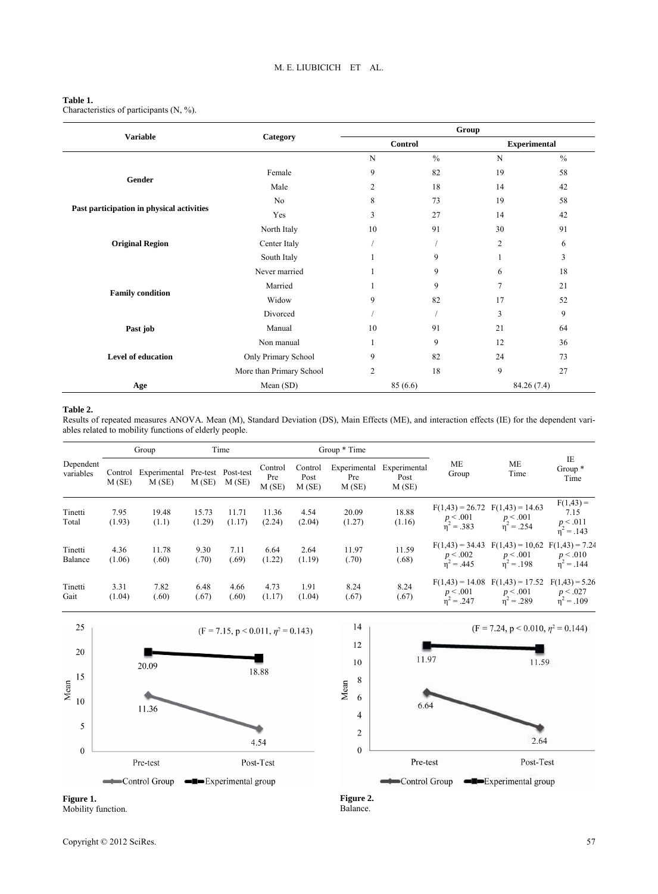#### **Table 1.**

Characteristics of participants (N, %).

| <b>Variable</b>                           | Category                 |          | Group         |                     |      |  |  |  |
|-------------------------------------------|--------------------------|----------|---------------|---------------------|------|--|--|--|
|                                           |                          |          | Control       | <b>Experimental</b> |      |  |  |  |
|                                           |                          | N        | $\frac{0}{0}$ | $\mathbf N$         | $\%$ |  |  |  |
| Gender                                    | Female                   | 9        | 82            | 19                  | 58   |  |  |  |
|                                           | Male                     | 2        | 18            | 14                  | 42   |  |  |  |
|                                           | N <sub>0</sub>           | 8        | 73            | 19                  | 58   |  |  |  |
| Past participation in physical activities | Yes                      | 3        | 27            | 14                  | 42   |  |  |  |
|                                           | North Italy              | 10       | 91            | 30                  | 91   |  |  |  |
| <b>Original Region</b>                    | Center Italy             |          |               | $\overline{2}$      | 6    |  |  |  |
|                                           | South Italy              |          | 9             |                     | 3    |  |  |  |
|                                           | Never married            |          | 9             | 6                   | 18   |  |  |  |
|                                           | Married                  |          | 9             | $\overline{7}$      | 21   |  |  |  |
| <b>Family condition</b>                   | Widow                    | 9        | 82            | 17                  | 52   |  |  |  |
|                                           | Divorced                 |          |               | 3                   | 9    |  |  |  |
| Past job                                  | Manual                   | 10       | 91            | 21                  | 64   |  |  |  |
|                                           | Non manual               |          | 9             | 12                  | 36   |  |  |  |
| Level of education                        | Only Primary School      | 9        | 82            | 24                  | 73   |  |  |  |
|                                           | More than Primary School | 2        | 18            | 9                   | 27   |  |  |  |
| Age                                       | Mean (SD)                | 85 (6.6) |               | 84.26 (7.4)         |      |  |  |  |

## **Table 2.**

Results of repeated measures ANOVA*.* Mean (M), Standard Deviation (DS), Main Effects (ME), and interaction effects (IE) for the dependent variables related to mobility functions of elderly people.

| Dependent<br>variables | Group            |                       | Time              |                    | Group * Time            |                          |                              |                               |                                                  |                                                        |                                                       |
|------------------------|------------------|-----------------------|-------------------|--------------------|-------------------------|--------------------------|------------------------------|-------------------------------|--------------------------------------------------|--------------------------------------------------------|-------------------------------------------------------|
|                        | Control<br>M(SE) | Experimental<br>M(SE) | Pre-test<br>M(SE) | Post-test<br>M(SE) | Control<br>Pre<br>M(SE) | Control<br>Post<br>M(SE) | Experimental<br>Pre<br>M(SE) | Experimental<br>Post<br>M(SE) | <b>ME</b><br>Group                               | ME<br>Time                                             | IE<br>Group $*$<br>Time                               |
| Tinetti<br>Total       | 7.95<br>(1.93)   | 19.48<br>(1.1)        | 15.73<br>(1.29)   | 11.71<br>(1.17)    | 11.36<br>(2.24)         | 4.54<br>(2.04)           | 20.09<br>(1.27)              | 18.88<br>(1.16)               | $F(1,43) = 26.72$<br>p < .001<br>$n^2$ = .383    | $F(1,43) = 14.63$<br>p < .001<br>$\mathbf{u}^2 = .254$ | $F(1,43) =$<br>7.15<br>$p \le 0.011$<br>$n^2 = 0.143$ |
| Tinetti<br>Balance     | 4.36<br>(1.06)   | 11.78<br>(.60)        | 9.30<br>(.70)     | 7.11<br>(.69)      | 6.64<br>(1.22)          | 2.64<br>(1.19)           | 11.97<br>(.70)               | 11.59<br>(.68)                | $F(1,43) = 34.43$<br>p < .002<br>$n^2 = .445$    | $F(1,43) = 10,62$<br>p < .001<br>$n^2 = .198$          | $F(1,43) = 7.24$<br>p < .010<br>$\eta^2 = .144$       |
| Tinetti<br>Gait        | 3.31<br>(1.04)   | 7.82<br>(.60)         | 6.48<br>(.67)     | 4.66<br>(.60)      | 4.73<br>(1.17)          | 1.91<br>(1.04)           | 8.24<br>(.67)                | 8.24<br>(.67)                 | $F(1,43) = 14.08$<br>p < .001<br>$\eta^2 = .247$ | $F(1,43) = 17.52$<br>p < .001<br>$\eta^2 = .289$       | $F(1,43) = 5.26$<br>p < .027<br>$\eta^2 = .109$       |





**Figure 1.** Figure 1. Figure 2. **Figure 2. Figure 2. Figure 2. Figure 2. Figure 2. Example 2. Example 2. Example 2. Example 2. Example 2. Example 2. Example 2. Example 2. Example 2. Example 2.** Mobility function.

Mean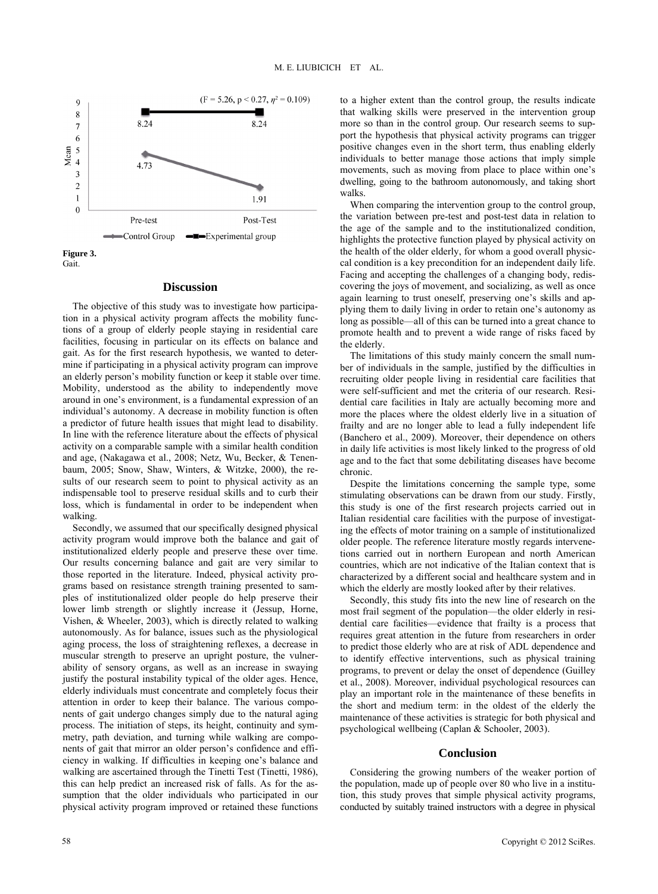

Gait.

### **Discussion**

The objective of this study was to investigate how participation in a physical activity program affects the mobility functions of a group of elderly people staying in residential care facilities, focusing in particular on its effects on balance and gait. As for the first research hypothesis, we wanted to determine if participating in a physical activity program can improve an elderly person's mobility function or keep it stable over time. Mobility, understood as the ability to independently move around in one's environment, is a fundamental expression of an individual's autonomy. A decrease in mobility function is often a predictor of future health issues that might lead to disability. In line with the reference literature about the effects of physical activity on a comparable sample with a similar health condition and age, (Nakagawa et al., 2008; Netz, Wu, Becker, & Tenenbaum, 2005; Snow, Shaw, Winters, & Witzke, 2000), the results of our research seem to point to physical activity as an indispensable tool to preserve residual skills and to curb their loss, which is fundamental in order to be independent when walking.

Secondly, we assumed that our specifically designed physical activity program would improve both the balance and gait of institutionalized elderly people and preserve these over time. Our results concerning balance and gait are very similar to those reported in the literature. Indeed, physical activity programs based on resistance strength training presented to samples of institutionalized older people do help preserve their lower limb strength or slightly increase it (Jessup, Horne, Vishen, & Wheeler, 2003), which is directly related to walking autonomously. As for balance, issues such as the physiological aging process, the loss of straightening reflexes, a decrease in muscular strength to preserve an upright posture, the vulnerability of sensory organs, as well as an increase in swaying justify the postural instability typical of the older ages. Hence, elderly individuals must concentrate and completely focus their attention in order to keep their balance. The various components of gait undergo changes simply due to the natural aging process. The initiation of steps, its height, continuity and symmetry, path deviation, and turning while walking are components of gait that mirror an older person's confidence and efficiency in walking. If difficulties in keeping one's balance and walking are ascertained through the Tinetti Test (Tinetti, 1986), this can help predict an increased risk of falls. As for the assumption that the older individuals who participated in our physical activity program improved or retained these functions

to a higher extent than the control group, the results indicate that walking skills were preserved in the intervention group more so than in the control group. Our research seems to support the hypothesis that physical activity programs can trigger positive changes even in the short term, thus enabling elderly individuals to better manage those actions that imply simple movements, such as moving from place to place within one's dwelling, going to the bathroom autonomously, and taking short walks.

When comparing the intervention group to the control group, the variation between pre-test and post-test data in relation to the age of the sample and to the institutionalized condition, highlights the protective function played by physical activity on the health of the older elderly, for whom a good overall physiccal condition is a key precondition for an independent daily life. Facing and accepting the challenges of a changing body, rediscovering the joys of movement, and socializing, as well as once again learning to trust oneself, preserving one's skills and applying them to daily living in order to retain one's autonomy as long as possible—all of this can be turned into a great chance to promote health and to prevent a wide range of risks faced by the elderly.

The limitations of this study mainly concern the small number of individuals in the sample, justified by the difficulties in recruiting older people living in residential care facilities that were self-sufficient and met the criteria of our research. Residential care facilities in Italy are actually becoming more and more the places where the oldest elderly live in a situation of frailty and are no longer able to lead a fully independent life (Banchero et al., 2009). Moreover, their dependence on others in daily life activities is most likely linked to the progress of old age and to the fact that some debilitating diseases have become chronic.

Despite the limitations concerning the sample type, some stimulating observations can be drawn from our study. Firstly, this study is one of the first research projects carried out in Italian residential care facilities with the purpose of investigating the effects of motor training on a sample of institutionalized older people. The reference literature mostly regards intervenetions carried out in northern European and north American countries, which are not indicative of the Italian context that is characterized by a different social and healthcare system and in which the elderly are mostly looked after by their relatives.

Secondly, this study fits into the new line of research on the most frail segment of the population—the older elderly in residential care facilities—evidence that frailty is a process that requires great attention in the future from researchers in order to predict those elderly who are at risk of ADL dependence and to identify effective interventions, such as physical training programs, to prevent or delay the onset of dependence (Guilley et al., 2008). Moreover, individual psychological resources can play an important role in the maintenance of these benefits in the short and medium term: in the oldest of the elderly the maintenance of these activities is strategic for both physical and psychological wellbeing (Caplan & Schooler, 2003).

#### **Conclusion**

Considering the growing numbers of the weaker portion of the population, made up of people over 80 who live in a institution, this study proves that simple physical activity programs, conducted by suitably trained instructors with a degree in physical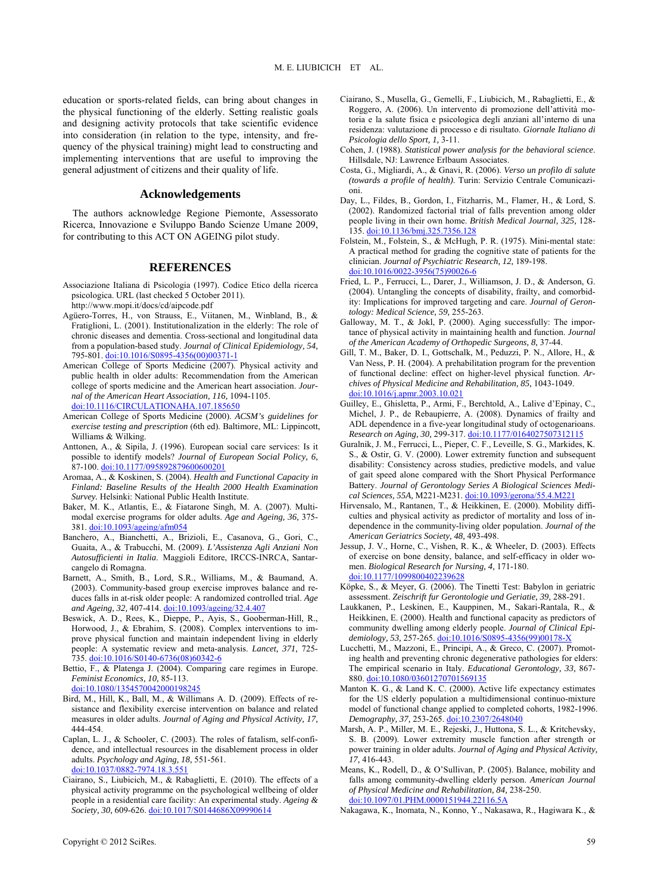education or sports-related fields, can bring about changes in the physical functioning of the elderly. Setting realistic goals and designing activity protocols that take scientific evidence into consideration (in relation to the type, intensity, and frequency of the physical training) might lead to constructing and implementing interventions that are useful to improving the general adjustment of citizens and their quality of life.

#### **Acknowledgements**

The authors acknowledge Regione Piemonte, Assessorato Ricerca, Innovazione e Sviluppo Bando Scienze Umane 2009, for contributing to this ACT ON AGEING pilot study.

#### **REFERENCES**

- Associazione Italiana di Psicologia (1997). Codice Etico della ricerca psicologica. URL (last checked 5 October 2011). http://www.mopi.it/docs/cd/aipcode.pdf
- Agüero-Torres, H., von Strauss, E., Viitanen, M., Winbland, B., & Fratiglioni, L. (2001). Institutionalization in the elderly: The role of chronic diseases and dementia. Cross-sectional and longitudinal data from a population-based study. *Journal of Clinical Epidemiology, 54,* 795-801. [doi:10.1016/S0895-4356\(00\)00371-1](http://dx.doi.org/10.1016/S0895-4356(00)00371-1)
- American College of Sports Medicine (2007). Physical activity and public health in older adults: Recommendation from the American college of sports medicine and the American heart association. *Journal of the American Heart Association, 116,* 1094-1105. [doi:10.1116/CIRCULATIONAHA.107.185650](http://dx.doi.org/10.1116/CIRCULATIONAHA.107.185650)
- American College of Sports Medicine (2000). *ACSM's guidelines for exercise testing and prescription* (6th ed). Baltimore, ML: Lippincott, Williams & Wilking.
- Anttonen, A., & Sipila, J. (1996). European social care services: Is it possible to identify models? *Journal of European Social Policy, 6,* 87-100. [doi:10.1177/095892879600600201](http://dx.doi.org/10.1177/095892879600600201)
- Aromaa, A., & Koskinen, S. (2004). *Health and Functional Capacity in Finland: Baseline Results of the Health 2000 Health Examination Survey.* Helsinki: National Public Health Institute.
- Baker, M. K., Atlantis, E., & Fiatarone Singh, M. A. (2007). Multimodal exercise programs for older adults. *Age and Ageing, 36,* 375- 381. [doi:10.1093/ageing/afm054](http://dx.doi.org/10.1093/ageing/afm054)
- Banchero, A., Bianchetti, A., Brizioli, E., Casanova, G., Gori, C., Guaita, A., & Trabucchi, M. (2009). *L'Assistenza Agli Anziani Non Autosufficienti in Italia*. Maggioli Editore, IRCCS-INRCA, Santarcangelo di Romagna.
- Barnett, A., Smith, B., Lord, S.R., Williams, M., & Baumand, A. (2003). Community-based group exercise improves balance and reduces falls in at-risk older people: A randomized controlled trial. *Age and Ageing, 32,* 407-414. [doi:10.1093/ageing/32.4.407](http://dx.doi.org/10.1093/ageing/32.4.407)
- Beswick, A. D., Rees, K., Dieppe, P., Ayis, S., Gooberman-Hill, R., Horwood, J., & Ebrahim, S. (2008). Complex interventions to improve physical function and maintain independent living in elderly people: A systematic review and meta-analysis. *Lancet, 371,* 725- 735. [doi:10.1016/S0140-6736\(08\)60342-6](http://dx.doi.org/10.1016/S0140-6736(08)60342-6)
- Bettio, F., & Platenga J. (2004). Comparing care regimes in Europe. *Feminist Economics, 10,* 85-113.
- [doi:10.1080/1354570042000198245](http://dx.doi.org/10.1080/1354570042000198245)
- Bird, M., Hill, K., Ball, M., & Willimans A. D. (2009). Effects of resistance and flexibility exercise intervention on balance and related measures in older adults. *Journal of Aging and Physical Activity, 17,* 444-454.
- Caplan, L. J., & Schooler, C. (2003). The roles of fatalism, self-confidence, and intellectual resources in the disablement process in older adults. *Psychology and Aging, 18,* 551-561. [doi:10.1037/0882-7974.18.3.551](http://dx.doi.org/10.1037/0882-7974.18.3.551)
- Ciairano, S., Liubicich, M., & Rabaglietti, E. (2010). The effects of a physical activity programme on the psychological wellbeing of older people in a residential care facility: An experimental study. *Ageing & Society, 30,* 609-626. [doi:10.1017/S0144686X09990614](http://dx.doi.org/10.1017/S0144686X09990614)
- Ciairano, S., Musella, G., Gemelli, F., Liubicich, M., Rabaglietti, E., & Roggero, A. (2006). Un intervento di promozione dell'attività motoria e la salute fisica e psicologica degli anziani all'interno di una residenza: valutazione di processo e di risultato. *Giornale Italiano di Psicologia dello Sport, 1,* 3-11.
- Cohen, J. (1988). *Statistical power analysis for the behavioral science*. Hillsdale, NJ: Lawrence Erlbaum Associates.
- Costa, G., Migliardi, A., & Gnavi, R. (2006). *Verso un profilo di salute (towards a profile of health)*. Turin: Servizio Centrale Comunicazioni.
- Day, L., Fildes, B., Gordon, I., Fitzharris, M., Flamer, H., & Lord, S. (2002). Randomized factorial trial of falls prevention among older people living in their own home. *British Medical Journal, 325,* 128- 135. [doi:10.1136/bmj.325.7356.128](http://dx.doi.org/10.1136/bmj.325.7356.128)
- Folstein, M., Folstein, S., & McHugh, P. R. (1975). Mini-mental state: A practical method for grading the cognitive state of patients for the clinician. *Journal of Psychiatric Research, 12,* 189-198. [doi:10.1016/0022-3956\(75\)90026-6](http://dx.doi.org/10.1016/0022-3956(75)90026-6)
- Fried, L. P., Ferrucci, L., Darer, J., Williamson, J. D., & Anderson, G. (2004). Untangling the concepts of disability, frailty, and comorbidity: Implications for improved targeting and care. *Journal of Gerontology: Medical Science, 59,* 255-263.
- Galloway, M. T., & Jokl, P. (2000). Aging successfully: The importance of physical activity in maintaining health and function. *Journal of the American Academy of Orthopedic Surgeons, 8,* 37-44.
- Gill, T. M., Baker, D. I., Gottschalk, M., Peduzzi, P. N., Allore, H., & Van Ness, P. H. (2004). A prehabilitation program for the prevention of functional decline: effect on higher-level physical function. *Archives of Physical Medicine and Rehabilitation, 85,* 1043-1049. [doi:10.1016/j.apmr.2003.10.021](http://dx.doi.org/10.1016/j.apmr.2003.10.021)
- Guilley, E., Ghisletta, P., Armi, F., Berchtold, A., Lalive d'Epinay, C., Michel, J. P., de Rebaupierre, A. (2008). Dynamics of frailty and ADL dependence in a five-year longitudinal study of octogenarioans. *Research on Aging, 30,* 299-317. [doi:10.1177/0164027507312115](http://dx.doi.org/10.1177/0164027507312115)
- Guralnik, J. M., Ferrucci, L., Pieper, C. F., Leveille, S. G., Markides, K. S., & Ostir, G. V. (2000). Lower extremity function and subsequent disability: Consistency across studies, predictive models, and value of gait speed alone compared with the Short Physical Performance Battery. *Journal of Gerontology Series A Biological Sciences Medical Sciences, 55A,* M221-M231. [doi:10.1093/gerona/55.4.M221](http://dx.doi.org/10.1093/gerona/55.4.M221)
- Hirvensalo, M., Rantanen, T., & Heikkinen, E. (2000). Mobility difficulties and physical activity as predictor of mortality and loss of independence in the community-living older population. *Journal of the American Geriatrics Society, 48,* 493-498.
- Jessup, J. V., Horne, C., Vishen, R. K., & Wheeler, D. (2003). Effects of exercise on bone density, balance, and self-efficacy in older women. *Biological Research for Nursing, 4,* 171-180. [doi:10.1177/1099800402239628](http://dx.doi.org/10.1177/1099800402239628)
- Köpke, S., & Meyer, G. (2006). The Tinetti Test: Babylon in geriatric assessment. *Zeischrift fur Gerontologie und Geriatie, 39,* 288-291.
- Laukkanen, P., Leskinen, E., Kauppinen, M., Sakari-Rantala, R., & Heikkinen, E. (2000). Health and functional capacity as predictors of community dwelling among elderly people. *Journal of Clinical Epidemiology, 53,* 257-265. [doi:10.1016/S0895-4356\(99\)00178-X](http://dx.doi.org/10.1016/S0895-4356(99)00178-X)
- Lucchetti, M., Mazzoni, E., Principi, A., & Greco, C. (2007). Promoting health and preventing chronic degenerative pathologies for elders: The empirical scenario in Italy. *Educational Gerontology, 33,* 867- 880. [doi:10.1080/03601270701569135](http://dx.doi.org/10.1080/03601270701569135)
- Manton K. G., & Land K. C. (2000). Active life expectancy estimates for the US elderly population a multidimensional continuo-mixture model of functional change applied to completed cohorts, 1982-1996. *Demography, 37,* 253-265. [doi:10.2307/2648040](http://dx.doi.org/10.2307/2648040)
- Marsh, A. P., Miller, M. E., Rejeski, J., Huttona, S. L., & Kritchevsky, S. B. (2009). Lower extremity muscle function after strength or power training in older adults. *Journal of Aging and Physical Activity, 17,* 416-443.
- Means, K., Rodell, D., & O'Sullivan, P. (2005). Balance, mobility and falls among community-dwelling elderly person. *American Journal of Physical Medicine and Rehabilitation, 84,* 238-250. [doi:10.1097/01.PHM.0000151944.22116.5A](http://dx.doi.org/10.1097/01.PHM.0000151944.22116.5A)
- Nakagawa, K., Inomata, N., Konno, Y., Nakasawa, R., Hagiwara K., &